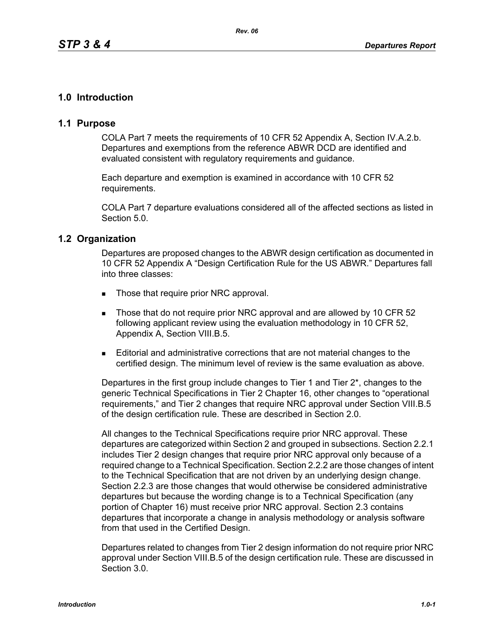## **1.0 Introduction**

### **1.1 Purpose**

COLA Part 7 meets the requirements of 10 CFR 52 Appendix A, Section IV.A.2.b. Departures and exemptions from the reference ABWR DCD are identified and evaluated consistent with regulatory requirements and guidance.

Each departure and exemption is examined in accordance with 10 CFR 52 requirements.

COLA Part 7 departure evaluations considered all of the affected sections as listed in Section 5.0.

## **1.2 Organization**

Departures are proposed changes to the ABWR design certification as documented in 10 CFR 52 Appendix A "Design Certification Rule for the US ABWR." Departures fall into three classes:

- Those that require prior NRC approval.
- Those that do not require prior NRC approval and are allowed by 10 CFR 52 following applicant review using the evaluation methodology in 10 CFR 52, Appendix A, Section VIII.B.5.
- Editorial and administrative corrections that are not material changes to the certified design. The minimum level of review is the same evaluation as above.

Departures in the first group include changes to Tier 1 and Tier 2\*, changes to the generic Technical Specifications in Tier 2 Chapter 16, other changes to "operational requirements," and Tier 2 changes that require NRC approval under Section VIII.B.5 of the design certification rule. These are described in Section 2.0.

All changes to the Technical Specifications require prior NRC approval. These departures are categorized within Section 2 and grouped in subsections. Section 2.2.1 includes Tier 2 design changes that require prior NRC approval only because of a required change to a Technical Specification. Section 2.2.2 are those changes of intent to the Technical Specification that are not driven by an underlying design change. Section 2.2.3 are those changes that would otherwise be considered administrative departures but because the wording change is to a Technical Specification (any portion of Chapter 16) must receive prior NRC approval. Section 2.3 contains departures that incorporate a change in analysis methodology or analysis software from that used in the Certified Design.

Departures related to changes from Tier 2 design information do not require prior NRC approval under Section VIII.B.5 of the design certification rule. These are discussed in Section 3.0.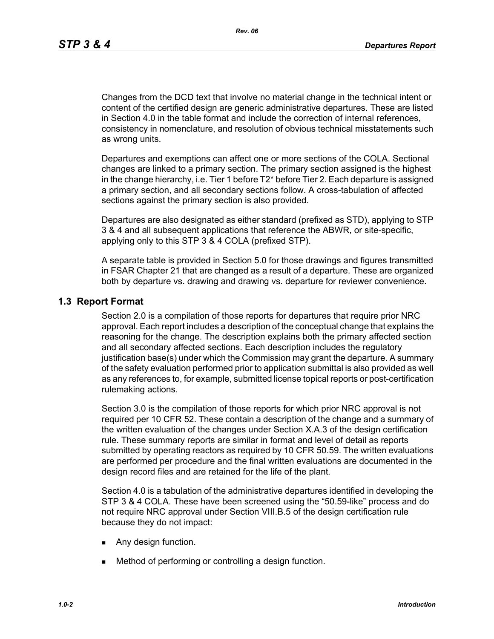Changes from the DCD text that involve no material change in the technical intent or content of the certified design are generic administrative departures. These are listed in Section 4.0 in the table format and include the correction of internal references, consistency in nomenclature, and resolution of obvious technical misstatements such as wrong units.

Departures and exemptions can affect one or more sections of the COLA. Sectional changes are linked to a primary section. The primary section assigned is the highest in the change hierarchy, i.e. Tier 1 before T2\* before Tier 2. Each departure is assigned a primary section, and all secondary sections follow. A cross-tabulation of affected sections against the primary section is also provided.

Departures are also designated as either standard (prefixed as STD), applying to STP 3 & 4 and all subsequent applications that reference the ABWR, or site-specific, applying only to this STP 3 & 4 COLA (prefixed STP).

A separate table is provided in Section 5.0 for those drawings and figures transmitted in FSAR Chapter 21 that are changed as a result of a departure. These are organized both by departure vs. drawing and drawing vs. departure for reviewer convenience.

### **1.3 Report Format**

Section 2.0 is a compilation of those reports for departures that require prior NRC approval. Each report includes a description of the conceptual change that explains the reasoning for the change. The description explains both the primary affected section and all secondary affected sections. Each description includes the regulatory justification base(s) under which the Commission may grant the departure. A summary of the safety evaluation performed prior to application submittal is also provided as well as any references to, for example, submitted license topical reports or post-certification rulemaking actions.

Section 3.0 is the compilation of those reports for which prior NRC approval is not required per 10 CFR 52. These contain a description of the change and a summary of the written evaluation of the changes under Section X.A.3 of the design certification rule. These summary reports are similar in format and level of detail as reports submitted by operating reactors as required by 10 CFR 50.59. The written evaluations are performed per procedure and the final written evaluations are documented in the design record files and are retained for the life of the plant*.*

Section 4.0 is a tabulation of the administrative departures identified in developing the STP 3 & 4 COLA. These have been screened using the "50.59-like" process and do not require NRC approval under Section VIII.B.5 of the design certification rule because they do not impact:

- **Any design function.**
- **Method of performing or controlling a design function.**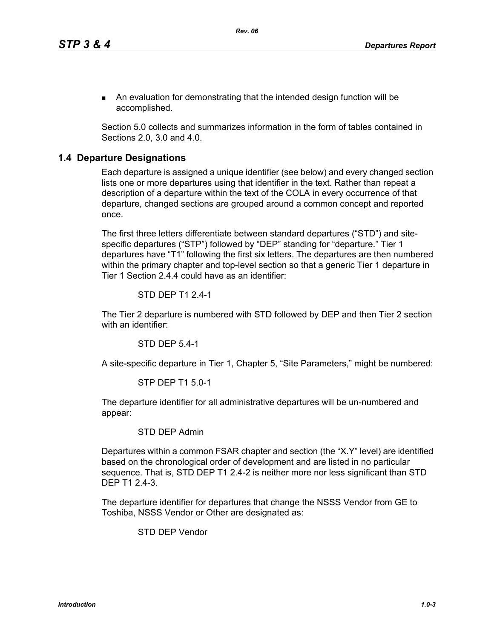An evaluation for demonstrating that the intended design function will be accomplished.

Section 5.0 collects and summarizes information in the form of tables contained in Sections 2.0, 3.0 and 4.0.

### **1.4 Departure Designations**

Each departure is assigned a unique identifier (see below) and every changed section lists one or more departures using that identifier in the text. Rather than repeat a description of a departure within the text of the COLA in every occurrence of that departure, changed sections are grouped around a common concept and reported once.

The first three letters differentiate between standard departures ("STD") and sitespecific departures ("STP") followed by "DEP" standing for "departure." Tier 1 departures have "T1" following the first six letters. The departures are then numbered within the primary chapter and top-level section so that a generic Tier 1 departure in Tier 1 Section 2.4.4 could have as an identifier:

#### STD DEP T1 2.4-1

The Tier 2 departure is numbered with STD followed by DEP and then Tier 2 section with an identifier:

STD DEP 5.4-1

A site-specific departure in Tier 1, Chapter 5, "Site Parameters," might be numbered:

#### STP DEP T1 5.0-1

The departure identifier for all administrative departures will be un-numbered and appear:

#### STD DEP Admin

Departures within a common FSAR chapter and section (the "X.Y" level) are identified based on the chronological order of development and are listed in no particular sequence. That is, STD DEP T1 2.4-2 is neither more nor less significant than STD DEP T1 2.4-3.

The departure identifier for departures that change the NSSS Vendor from GE to Toshiba, NSSS Vendor or Other are designated as:

STD DEP Vendor